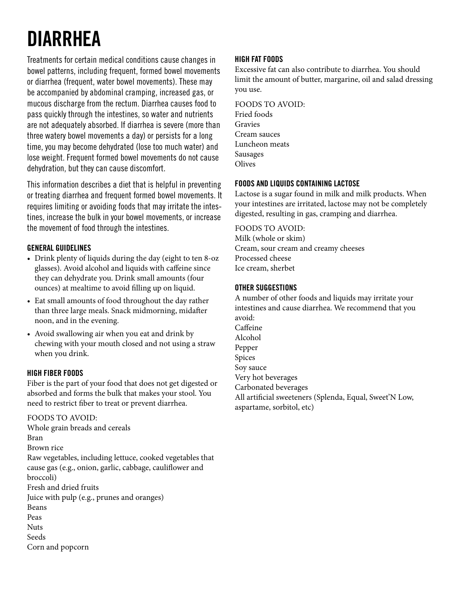# **DIARRHEA**

Treatments for certain medical conditions cause changes in bowel patterns, including frequent, formed bowel movements or diarrhea (frequent, water bowel movements). These may be accompanied by abdominal cramping, increased gas, or mucous discharge from the rectum. Diarrhea causes food to pass quickly through the intestines, so water and nutrients are not adequately absorbed. If diarrhea is severe (more than three watery bowel movements a day) or persists for a long time, you may become dehydrated (lose too much water) and lose weight. Frequent formed bowel movements do not cause dehydration, but they can cause discomfort.

This information describes a diet that is helpful in preventing or treating diarrhea and frequent formed bowel movements. It requires limiting or avoiding foods that may irritate the intestines, increase the bulk in your bowel movements, or increase the movement of food through the intestines.

# **GENERAL GUIDELINES**

- Drink plenty of liquids during the day (eight to ten 8-oz glasses). Avoid alcohol and liquids with caffeine since they can dehydrate you. Drink small amounts (four ounces) at mealtime to avoid filling up on liquid.
- Eat small amounts of food throughout the day rather than three large meals. Snack midmorning, midafter noon, and in the evening.
- Avoid swallowing air when you eat and drink by chewing with your mouth closed and not using a straw when you drink.

## **HIGH FIBER FOODS**

Fiber is the part of your food that does not get digested or absorbed and forms the bulk that makes your stool. You need to restrict fiber to treat or prevent diarrhea.

#### FOODS TO AVOID:

Whole grain breads and cereals Bran Brown rice Raw vegetables, including lettuce, cooked vegetables that cause gas (e.g., onion, garlic, cabbage, cauliflower and broccoli) Fresh and dried fruits Juice with pulp (e.g., prunes and oranges) Beans Peas Nuts Seeds Corn and popcorn

#### **HIGH FAT FOODS**

Excessive fat can also contribute to diarrhea. You should limit the amount of butter, margarine, oil and salad dressing you use.

FOODS TO AVOID: Fried foods Gravies Cream sauces Luncheon meats Sausages **Olives** 

#### **FOODS AND LIQUIDS CONTAINING LACTOSE**

Lactose is a sugar found in milk and milk products. When your intestines are irritated, lactose may not be completely digested, resulting in gas, cramping and diarrhea.

FOODS TO AVOID: Milk (whole or skim) Cream, sour cream and creamy cheeses Processed cheese

Ice cream, sherbet

#### **OTHER SUGGESTIONS**

A number of other foods and liquids may irritate your intestines and cause diarrhea. We recommend that you avoid: Caffeine Alcohol Pepper Spices Soy sauce Very hot beverages Carbonated beverages All artificial sweeteners (Splenda, Equal, Sweet'N Low, aspartame, sorbitol, etc)